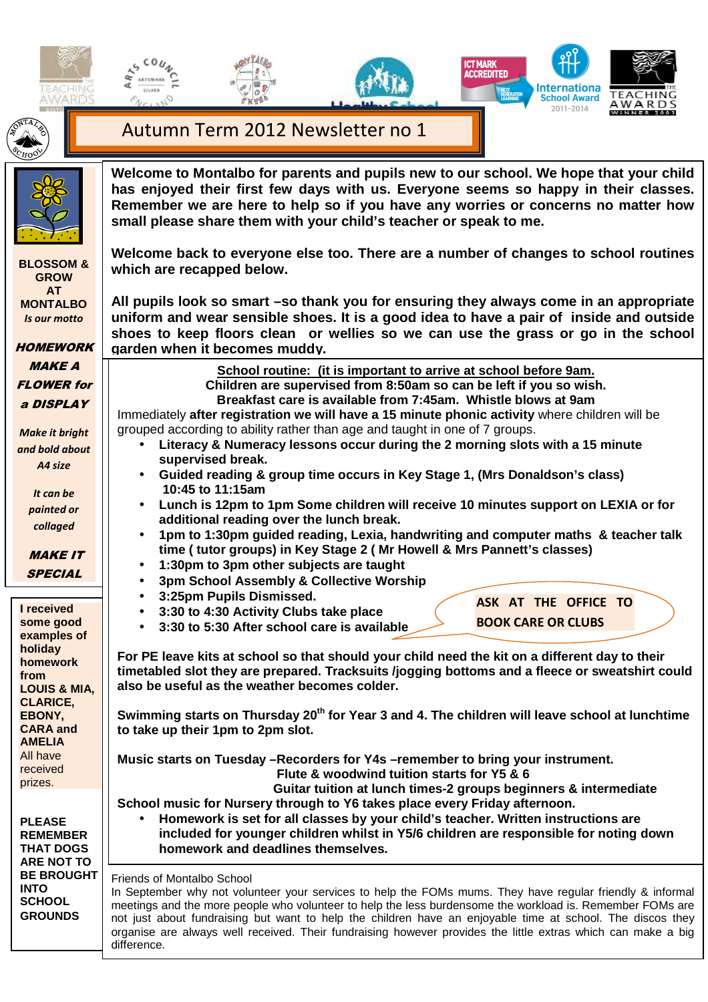







 $A$  R  $D$